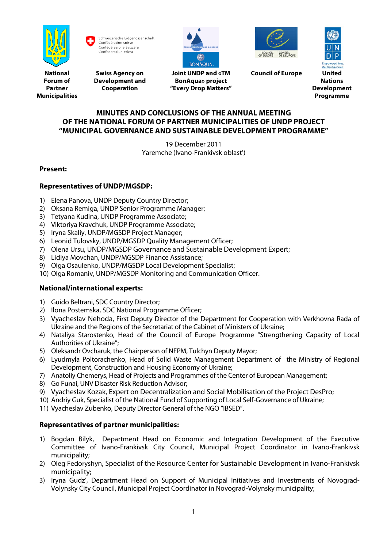

Schweizerische Eidgenossenschaft Confédération suisse Confederazione Svizzera Confederaziun svizra



**Swiss Agency on Development and Cooperation**



**Joint UNDP and «TM BonAqua» project "Every Drop Matters"**



**Council of Europe United**

**Nations Development Programme**

## **MINUTES AND CONCLUSIONS OF THE ANNUAL MEETING OF THE NATIONAL FORUM OF PARTNER MUNICIPALITIES OF UNDP PROJECT "MUNICIPAL GOVERNANCE AND SUSTAINABLE DEVELOPMENT PROGRAMME"**

19 December 2011 Yaremche (Ivano-Frankivsk oblast')

# **Present:**

# **Representatives of UNDP/MGSDP:**

- 1) Elena Panova, UNDP Deputy Country Director;
- 2) Oksana Remiga, UNDP Senior Programme Manager;
- 3) Tetyana Kudina, UNDP Programme Associate;
- 4) Viktoriya Kravchuk, UNDP Programme Associate;
- 5) Iryna Skaliy, UNDP/MGSDP Project Manager;
- 6) Leonid Tulovsky, UNDP/MGSDP Quality Management Officer;
- 7) Olena Ursu, UNDP/MGSDP Governance and Sustainable Development Expert;
- 8) Lidiya Movchan, UNDP/MGSDP Finance Assistance;
- 9) Olga Osaulenko, UNDP/MGSDP Local Development Specialist;
- 10) Olga Romaniv, UNDP/MGSDP Monitoring and Communication Officer.

## **National/international experts:**

- 1) Guido Beltrani, SDC Country Director;
- 2) Ilona Postemska, SDC National Programme Officer;
- 3) Vyacheslav Nehoda, First Deputy Director of the Department for Cooperation with Verkhovna Rada of Ukraine and the Regions of the Secretariat of the Cabinet of Ministers of Ukraine;
- 4) Nataliya Starostenko, Head of the Council of Europe Programme "Strengthening Capacity of Local Authorities of Ukraine";
- 5) Oleksandr Ovcharuk, the Chairperson of NFPM, Tulchyn Deputy Mayor;
- 6) Lyudmyla Poltorachenko, Head of Solid Waste Management Department of the Ministry of Regional Development, Construction and Housing Economy of Ukraine;
- 7) Anatoliy Chemerys, Head of Projects and Programmes of the Center of European Management;
- 8) Go Funai, UNV Disaster Risk Reduction Advisor;
- 9) Vyacheslav Kozak, Expert on Decentralization and Social Mobilisation of the Project DesPro;
- 10) Andriy Guk, Specialist of the National Fund of Supporting of Local Self-Governance of Ukraine;
- 11) Vyacheslav Zubenko, Deputy Director General of the NGO "IBSED".

## **Representatives of partner municipalities:**

- 1) Bogdan Bilyk, Department Head on Economic and Integration Development of the Executive Committee of Ivano-Frankivsk City Council, Municipal Project Coordinator in Ivano-Frankivsk municipality;
- 2) Oleg Fedoryshyn, Specialist of the Resource Center for Sustainable Development in Ivano-Frankivsk municipality;
- 3) Iryna Gudz', Department Head on Support of Municipal Initiatives and Investments of Novograd-Volynsky City Council, Municipal Project Coordinator in Novograd-Volynsky municipality;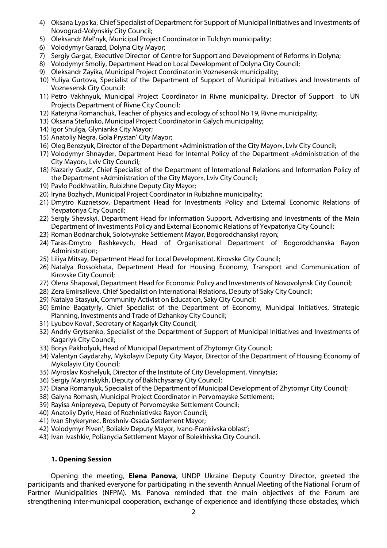- 4) Oksana Lyps'ka, Chief Specialist of Department for Support of Municipal Initiatives and Investments of Novograd-Volynskiy City Council;
- 5) Oleksandr Mel'nyk, Municipal Project Coordinator in Tulchyn municipality;
- 6) Volodymyr Garazd, Dolyna City Mayor;
- 7) Sergiy Gargat, Executive Director of Centre for Support and Development of Reforms in Dolyna;
- 8) Volodymyr Smoliy, Department Head on Local Development of Dolyna City Council;
- 9) Oleksandr Zayika, Municipal Project Coordinator in Voznesensk municipality;
- 10) Yuliya Gurtova, Specialist of the Department of Support of Municipal Initiatives and Investments of Voznesensk City Council;
- 11) Petro Vakhnyuk, Municipal Project Coordinator in Rivne municipality, Director of Support to UN Projects Department of Rivne City Council;
- 12) Kateryna Romanchuk, Teacher of physics and ecology of school No 19, Rivne municipality;
- 13) Oksana Stefunko, Municipal Project Coordinator in Galych municipality;
- 14) Igor Shulga, Glynianka City Mayor;
- 15) Anatoliy Negra, Gola Prystan' City Mayor;
- 16) Oleg Berezyuk, Director of the Department «Administration of the City Mayor», Lviv City Council;
- 17) Volodymyr Shnayder, Department Head for Internal Policy of the Department «Administration of the City Mayor», Lviv City Council;
- 18) Nazariy Gudz', Chief Specialist of the Department of International Relations and Information Policy of the Department «Administration of the City Mayor», Lviv City Council;
- 19) Pavlo Podkhvatilin, Rubizhne Deputy City Mayor;
- 20) Iryna Bozhych, Municipal Project Coordinator in Rubizhne municipality;
- 21) Dmytro Kuznetsov, Department Head for Investments Policy and External Economic Relations of Yevpatoriya City Council;
- 22) Sergiy Shevskyi, Department Head for Information Support, Advertising and Investments of the Main Department of Investments Policy and External Economic Relations of Yevpatoriya City Council;
- 23) Roman Bodnarchuk, Solotvynske Settlement Mayor, Bogorodchanskyi rayon;
- 24) Taras-Dmytro Rashkevych, Head of Organisational Department of Bogorodchanska Rayon Administration;
- 25) Liliya Mitsay, Department Head for Local Development, Kirovske City Council;
- 26) Natalya Rossokhata, Department Head for Housing Economy, Transport and Communication of Kirovske City Council;
- 27) Olena Shapoval, Department Head for Economic Policy and Investments of Novovolynsk City Council;
- 28) Zera Emirsalieva, Chief Specialist on International Relations, Deputy of Saky City Council;
- 29) Natalya Stasyuk, Community Activist on Education, Saky City Council;
- 30) Emine Bagatyrly, Chief Specialist of the Department of Economy, Municipal Initiatives, Strategic Planning, Investments and Trade of Dzhankoy City Council;
- 31) Lyubov Koval', Secretary of Kagarlyk City Council;
- 32) Andriy Grytsenko, Specialist of the Department of Support of Municipal Initiatives and Investments of Kagarlyk City Council;
- 33) Borys Pakholyuk, Head of Municipal Department of Zhytomyr City Council;
- 34) Valentyn Gaydarzhy, Mykolayiv Deputy City Mayor, Director of the Department of Housing Economy of Mykolayiv City Council;
- 35) Myroslav Koshelyuk, Director of the Institute of City Development, Vinnytsia;
- 36) Sergiy Maryinskykh, Deputy of Bakhchysaray City Council;
- 37) Diana Romanyuk, Specialist of the Department of Municipal Development of Zhytomyr City Council;
- 38) Galyna Romash, Municipal Project Coordinator in Pervomayske Settlement;
- 39) Rayisa Anipreyeva, Deputy of Pervomayske Settlement Council;
- 40) Anatoliy Dyriv, Head of Rozhniativska Rayon Council;
- 41) Ivan Shykerynec, Broshniv-Osada Settlement Mayor;
- 42) Volodymyr Piven', Boliakiv Deputy Mayor, Ivano-Frankivska oblast';
- 43) Ivan Ivashkiv, Polianycia Settlement Mayor of Bolekhivska City Council.

#### **1. Opening Session**

Opening the meeting, **Elena Panova**, UNDP Ukraine Deputy Country Director, greeted the participants and thanked everyone for participating in the seventh Annual Meeting of the National Forum of Partner Municipalities (NFPM). Ms. Panova reminded that the main objectives of the Forum are strengthening inter-municipal cooperation, exchange of experience and identifying those obstacles, which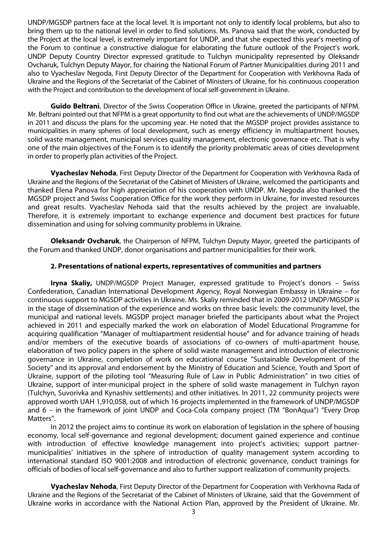UNDP/MGSDP partners face at the local level. It is important not only to identify local problems, but also to bring them up to the national level in order to find solutions. Ms. Panova said that the work, conducted by the Project at the local level, is extremely important for UNDP, and that she expected this year's meeting of the Forum to continue a constructive dialogue for elaborating the future outlook of the Project's work. UNDP Deputy Country Director expressed gratitude to Tulchyn municipality represented by Oleksandr Ovcharuk, Tulchyn Deputy Mayor, for chairing the National Forum of Partner Municipalities during 2011 and also to Vyacheslav Negoda, First Deputy Director of the Department for Cooperation with Verkhovna Rada of Ukraine and the Regions of the Secretariat of the Cabinet of Ministers of Ukraine, for his continuous cooperation with the Project and contribution to the development of local self-government in Ukraine.

**Guido Beltrani**, Director of the Swiss Cooperation Office in Ukraine, greeted the participants of NFPM. Mr. Beltrani pointed out that NFPM is a great opportunity to find out what are the achievements of UNDP/MGSDP in 2011 and discuss the plans for the upcoming year. He noted that the MGSDP project provides assistance to municipalities in many spheres of local development, such as energy efficiency in multiapartment houses, solid waste management, municipal services quality management, electronic governance etc. That is why one of the main objectives of the Forum is to identify the priority problematic areas of cities development in order to properly plan activities of the Project.

**Vyacheslav Nehoda**, First Deputy Director of the Department for Cooperation with Verkhovna Rada of Ukraine and the Regions of the Secretariat of the Cabinet of Ministers of Ukraine, welcomed the participants and thanked Elena Panova for high appreciation of his cooperation with UNDP. Mr. Negoda also thanked the MGSDP project and Swiss Cooperation Office for the work they perform in Ukraine, for invested resources and great results. Vyacheslav Nehoda said that the results achieved by the project are invaluable. Therefore, it is extremely important to exchange experience and document best practices for future dissemination and using for solving community problems in Ukraine.

**Oleksandr Ovcharuk**, the Chairperson of NFPM, Tulchyn Deputy Mayor, greeted the participants of the Forum and thanked UNDP, donor organisations and partner municipalities for their work.

#### **2. Presentations of national experts, representatives of communities and partners**

**Iryna Skaliy,** UNDP/MGSDP Project Manager, expressed gratitude to Project's donors – Swiss Confederation, Canadian International Development Agency, Royal Norwegian Embassy in Ukraine – for continuous support to MGSDP activities in Ukraine. Ms. Skaliy reminded that in 2009-2012 UNDP/MGSDP is in the stage of dissemination of the experience and works on three basic levels: the community level, the municipal and national levels. MGSDP project manager briefed the participants about what the Project achieved in 2011 and especially marked the work on elaboration of Model Educational Programme for acquiring qualification "Manager of multiapartment residential house" and for advance training of heads and/or members of the executive boards of associations of co-owners of multi-apartment house, elaboration of two policy papers in the sphere of solid waste management and introduction of electronic governance in Ukraine, completion of work on educational course "Sustainable Development of the Society" and its approval and endorsement by the Ministry of Education and Science, Youth and Sport of Ukraine, support of the piloting tool "Measuring Rule of Law in Public Administration" in two cities of Ukraine, support of inter-municipal project in the sphere of solid waste management in Tulchyn rayon (Tulchyn, Suvorivka and Kynashiv settlements) and other initiatives. In 2011, 22 community projects were approved worth UAH 1,910,058, out of which 16 projects implemented in the framework of UNDP/MGSDP and 6 – in the framework of joint UNDP and Coca-Cola company project (TM "BonAqua") "Every Drop Matters".

In 2012 the project aims to continue its work on elaboration of legislation in the sphere of housing economy, local self-governance and regional development; document gained experience and continue with introduction of effective knowledge management into project's activities; support partnermunicipalities' initiatives in the sphere of introduction of quality management system according to international standard ISO 9001:2008 and introduction of electronic governance, conduct trainings for officials of bodies of local self-governance and also to further support realization of community projects.

**Vyacheslav Nehoda**, First Deputy Director of the Department for Cooperation with Verkhovna Rada of Ukraine and the Regions of the Secretariat of the Cabinet of Ministers of Ukraine, said that the Government of Ukraine works in accordance with the National Action Plan, approved by the President of Ukraine. Mr.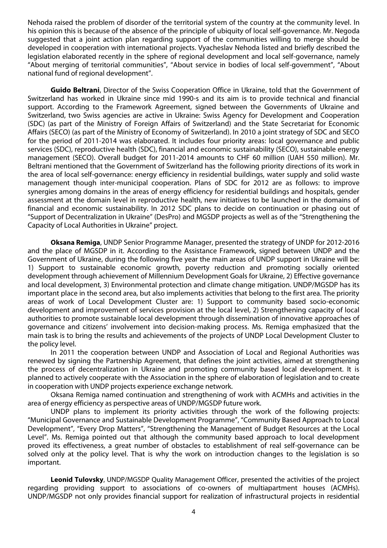Nehoda raised the problem of disorder of the territorial system of the country at the community level. In his opinion this is because of the absence of the principle of ubiquity of local self-governance. Mr. Negoda suggested that a joint action plan regarding support of the communities willing to merge should be developed in cooperation with international projects. Vyacheslav Nehoda listed and briefly described the legislation elaborated recently in the sphere of regional development and local self-governance, namely "About merging of territorial communities", "About service in bodies of local self-government", "About national fund of regional development".

**Guido Beltrani**, Director of the Swiss Cooperation Office in Ukraine, told that the Government of Switzerland has worked in Ukraine since mid 1990-s and its aim is to provide technical and financial support. According to the Framework Agreement, signed between the Governments of Ukraine and Switzerland, two Swiss agencies are active in Ukraine: Swiss Agency for Development and Cooperation (SDC) (as part of the Ministry of Foreign Affairs of Switzerland) and the State Secretariat for Economic Affairs (SECO) (as part of the Ministry of Economy of Switzerland). In 2010 a joint strategy of SDC and SECO for the period of 2011-2014 was elaborated. It includes four priority areas: local governance and public services (SDC), reproductive health (SDC), financial and economic sustainability (SECO), sustainable energy management (SECO). Overall budget for 2011-2014 amounts to CHF 60 million (UAH 550 million). Mr. Beltrani mentioned that the Government of Switzerland has the following priority directions of its work in the area of local self-governance: energy efficiency in residential buildings, water supply and solid waste management though inter-municipal cooperation. Plans of SDC for 2012 are as follows: to improve synergies among domains in the areas of energy efficiency for residential buildings and hospitals, gender assessment at the domain level in reproductive health, new initiatives to be launched in the domains of financial and economic sustainability. In 2012 SDC plans to decide on continuation or phasing out of "Support of Decentralization in Ukraine" (DesPro) and MGSDP projects as well as of the "Strengthening the Capacity of Local Authorities in Ukraine" project.

**Oksana Remiga**, UNDP Senior Programme Manager, presented the strategy of UNDP for 2012-2016 and the place of MGSDP in it. According to the Assistance Framework, signed between UNDP and the Government of Ukraine, during the following five year the main areas of UNDP support in Ukraine will be: 1) Support to sustainable economic growth, poverty reduction and promoting socially oriented development through achievement of Millennium Development Goals for Ukraine, 2) Effective governance and local development, 3) Environmental protection and climate change mitigation. UNDP/MGSDP has its important place in the second area, but also implements activities that belong to the first area. The priority areas of work of Local Development Cluster are: 1) Support to community based socio-economic development and improvement of services provision at the local level, 2) Strengthening capacity of local authorities to promote sustainable local development through dissemination of innovative approaches of governance and citizens' involvement into decision-making process. Ms. Remiga emphasized that the main task is to bring the results and achievements of the projects of UNDP Local Development Cluster to the policy level.

In 2011 the cooperation between UNDP and Association of Local and Regional Authorities was renewed by signing the Partnership Agreement, that defines the joint activities, aimed at strengthening the process of decentralization in Ukraine and promoting community based local development. It is planned to actively cooperate with the Association in the sphere of elaboration of legislation and to create in cooperation with UNDP projects experience exchange network.

Oksana Remiga named continuation and strengthening of work with ACMHs and activities in the area of energy efficiency as perspective areas of UNDP/MGSDP future work.

UNDP plans to implement its priority activities through the work of the following projects: "Municipal Governance and Sustainable Development Programme", "Community Based Approach to Local Development", "Every Drop Matters", "Strengthening the Management of Budget Resources at the Local Level". Ms. Remiga pointed out that although the community based approach to local development proved its effectiveness, a great number of obstacles to establishment of real self-governance can be solved only at the policy level. That is why the work on introduction changes to the legislation is so important.

**Leonid Tulovsky**, UNDP/MGSDP Quality Management Officer, presented the activities of the project regarding providing support to associations of co-owners of multiapartment houses (ACMHs). UNDP/MGSDP not only provides financial support for realization of infrastructural projects in residential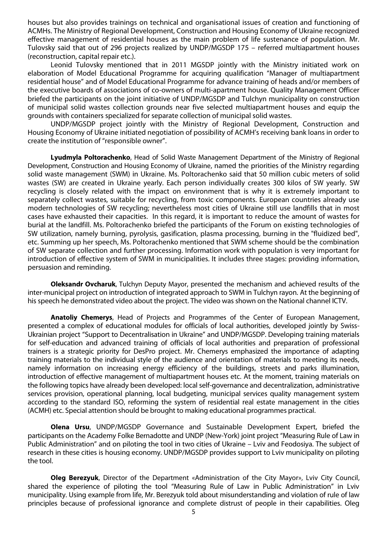houses but also provides trainings on technical and organisational issues of creation and functioning of ACMHs. The Ministry of Regional Development, Construction and Housing Economy of Ukraine recognized effective management of residential houses as the main problem of life sustenance of population. Mr. Tulovsky said that out of 296 projects realized by UNDP/MGSDP 175 – referred multiapartment houses (reconstruction, capital repair etc.).

Leonid Tulovsky mentioned that in 2011 MGSDP jointly with the Ministry initiated work on elaboration of Model Educational Programme for acquiring qualification "Manager of multiapartment residential house" and of Model Educational Programme for advance training of heads and/or members of the executive boards of associations of co-owners of multi-apartment house. Quality Management Officer briefed the participants on the joint initiative of UNDP/MGSDP and Tulchyn municipality on construction of municipal solid wastes collection grounds near five selected multiapartment houses and equip the grounds with containers specialized for separate collection of municipal solid wastes.

UNDP/MGSDP project jointly with the Ministry of Regional Development, Construction and Housing Economy of Ukraine initiated negotiation of possibility of ACMH's receiving bank loans in order to create the institution of "responsible owner".

**Lyudmyla Poltorachenko**, Head of Solid Waste Management Department of the Ministry of Regional Development, Construction and Housing Economy of Ukraine, named the priorities of the Ministry regarding solid waste management (SWM) in Ukraine. Ms. Poltorachenko said that 50 million cubic meters of solid wastes (SW) are created in Ukraine yearly. Each person individually creates 300 kilos of SW yearly. SW recycling is closely related with the impact on environment that is why it is extremely important to separately collect wastes, suitable for recycling, from toxic components. European countries already use modern technologies of SW recycling; nevertheless most cities of Ukraine still use landfills that in most cases have exhausted their capacities. In this regard, it is important to reduce the amount of wastes for burial at the landfill. Ms. Poltorachenko briefed the participants of the Forum on existing technologies of SW utilization, namely burning, pyrolysis, gasification, plasma processing, burning in the "fluidized bed", etc. Summing up her speech, Ms. Poltorachenko mentioned that SWM scheme should be the combination of SW separate collection and further processing. Information work with population is very important for introduction of effective system of SWM in municipalities. It includes three stages: providing information, persuasion and reminding.

**Oleksandr Ovcharuk**, Tulchyn Deputy Mayor, presented the mechanism and achieved results of the inter-municipal project on introduction of integrated approach to SWM in Tulchyn rayon. At the beginning of his speech he demonstrated video about the project. The video was shown on the National channel ICTV.

**Anatoliy Chemerys**, Head of Projects and Programmes of the Center of European Management, presented a complex of educational modules for officials of local authorities, developed jointly by Swiss-Ukrainian project "Support to Decentralisation in Ukraine" and UNDP/MGSDP. Developing training materials for self-education and advanced training of officials of local authorities and preparation of professional trainers is a strategic priority for DesPro project. Mr. Chemerys emphasized the importance of adapting training materials to the individual style of the audience and orientation of materials to meeting its needs, namely information on increasing energy efficiency of the buildings, streets and parks illumination, introduction of effective management of multiapartment houses etc. At the moment, training materials on the following topics have already been developed: local self-governance and decentralization, administrative services provision, operational planning, local budgeting, municipal services quality management system according to the standard ISO, reforming the system of residential real estate management in the cities (ACMH) etc. Special attention should be brought to making educational programmes practical.

**Olena Ursu**, UNDP/MGSDP Governance and Sustainable Development Expert, briefed the participants on the Academy Folke Bernadotte and UNDP (New-York) joint project "Measuring Rule of Law in Public Administration" and on piloting the tool in two cities of Ukraine – Lviv and Feodosiya. The subject of research in these cities is housing economy. UNDP/MGSDP provides support to Lviv municipality on piloting the tool.

**Oleg Berezyuk**, Director of the Department «Administration of the City Mayor», Lviv City Council, shared the experience of piloting the tool "Measuring Rule of Law in Public Administration" in Lviv municipality. Using example from life, Mr. Berezyuk told about misunderstanding and violation of rule of law principles because of professional ignorance and complete distrust of people in their capabilities. Oleg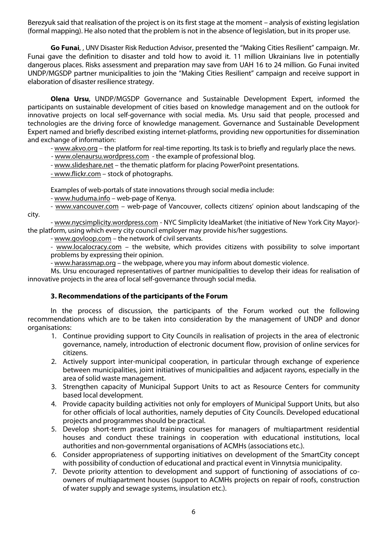Berezyuk said that realisation of the project is on its first stage at the moment – analysis of existing legislation (formal mapping). He also noted that the problem is not in the absence of legislation, but in its proper use.

**Go Funai**, , UNV Disaster Risk Reduction Advisor, presented the "Making Cities Resilient" campaign. Mr. Funai gave the definition to disaster and told how to avoid it. 11 million Ukrainians live in potentially dangerous places. Risks assessment and preparation may save from UAH 16 to 24 million. Go Funai invited UNDP/MGSDP partner municipalities to join the "Making Cities Resilient" campaign and receive support in elaboration of disaster resilience strategy.

**Olena Ursu**, UNDP/MGSDP Governance and Sustainable Development Expert, informed the participants on sustainable development of cities based on knowledge management and on the outlook for innovative projects on local self-governance with social media. Ms. Ursu said that people, processed and technologies are the driving force of knowledge management. Governance and Sustainable Development Expert named and briefly described existing internet-platforms, providing new opportunities for dissemination and exchange of information:

- www.akvo.org – the platform for real-time reporting. Its task is to briefly and regularly place the news.

- www.olenaursu.wordpress.com the example of professional blog.
- www.slideshare.net the thematic platform for placing PowerPoint presentations.
- www.flickr.com stock of photographs.

Examples of web-portals of state innovations through social media include:

- www.huduma.info – web-page of Kenya.

- www.vancouver.com - web-page of Vancouver, collects citizens' opinion about landscaping of the city.

- www.nycsimplicity.wordpress.com - NYC Simplicity IdeaMarket (the initiative of New York City Mayor) the platform, using which every city council employer may provide his/her suggestions.

- www.govloop.com – the network of civil servants.

- www.localocracy.com – the website, which provides citizens with possibility to solve important problems by expressing their opinion.

- www.harassmap.org – the webpage, where you may inform about domestic violence.

Ms. Ursu encouraged representatives of partner municipalities to develop their ideas for realisation of innovative projects in the area of local self-governance through social media.

## **3. Recommendations of the participants of the Forum**

In the process of discussion, the participants of the Forum worked out the following recommendations which are to be taken into consideration by the management of UNDP and donor organisations:

- 1. Continue providing support to City Councils in realisation of projects in the area of electronic governance, namely, introduction of electronic document flow, provision of online services for citizens.
- 2. Actively support inter-municipal cooperation, in particular through exchange of experience between municipalities, joint initiatives of municipalities and adjacent rayons, especially in the area of solid waste management.
- 3. Strengthen capacity of Municipal Support Units to act as Resource Centers for community based local development.
- 4. Provide capacity building activities not only for employers of Municipal Support Units, but also for other officials of local authorities, namely deputies of City Councils. Developed educational projects and programmes should be practical.
- 5. Develop short-term practical training courses for managers of multiapartment residential houses and conduct these trainings in cooperation with educational institutions, local authorities and non-governmental organisations of ACMHs (associations etc.).
- 6. Consider appropriateness of supporting initiatives on development of the SmartCity concept with possibility of conduction of educational and practical event in Vinnytsia municipality.
- 7. Devote priority attention to development and support of functioning of associations of coowners of multiapartment houses (support to ACMHs projects on repair of roofs, construction of water supply and sewage systems, insulation etc.).